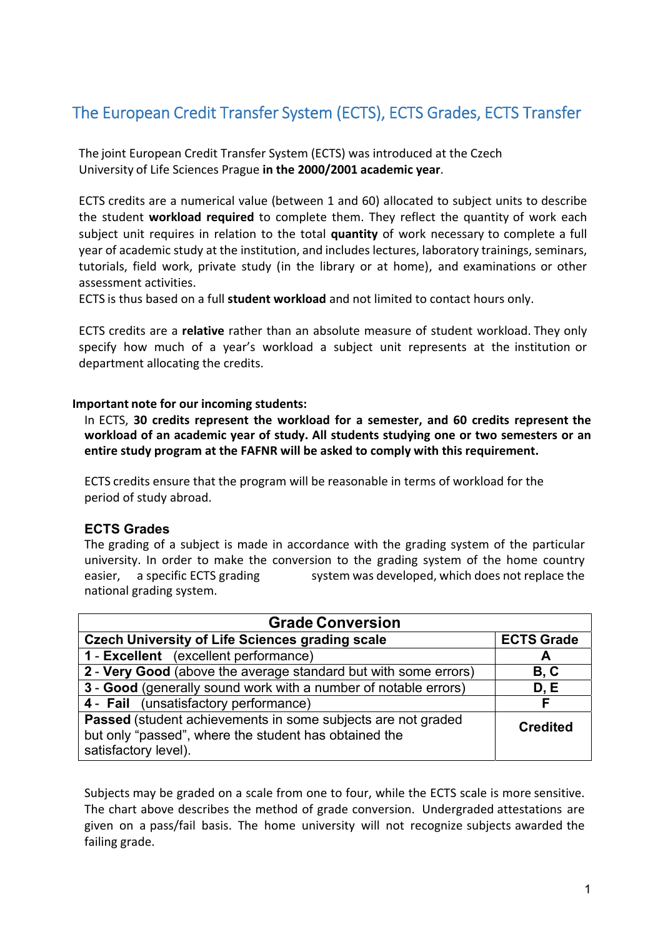## The European Credit Transfer System (ECTS), ECTS Grades, ECTS Transfer

The joint European Credit Transfer System (ECTS) was introduced at the Czech University of Life Sciences Prague **in the 2000/2001 academic year**.

ECTS credits are a numerical value (between 1 and 60) allocated to subject units to describe the student **workload required** to complete them. They reflect the quantity of work each subject unit requires in relation to the total **quantity** of work necessary to complete a full year of academic study at the institution, and includes lectures, laboratory trainings, seminars, tutorials, field work, private study (in the library or at home), and examinations or other assessment activities.

ECTS is thus based on a full **student workload** and not limited to contact hours only.

ECTS credits are a **relative** rather than an absolute measure of student workload. They only specify how much of a year's workload a subject unit represents at the institution or department allocating the credits.

## **Important note for our incoming students:**

In ECTS, **30 credits represent the workload for a semester, and 60 credits represent the workload of an academic year of study. All students studying one or two semesters or an entire study program at the FAFNR will be asked to comply with this requirement.**

ECTS credits ensure that the program will be reasonable in terms of workload for the period of study abroad.

## **ECTS Grades**

The grading of a subject is made in accordance with the grading system of the particular university. In order to make the conversion to the grading system of the home country easier, a specific ECTS grading system was developed, which does not replace the national grading system.

| <b>Grade Conversion</b>                                                                                                                              |                   |
|------------------------------------------------------------------------------------------------------------------------------------------------------|-------------------|
| <b>Czech University of Life Sciences grading scale</b>                                                                                               | <b>ECTS Grade</b> |
| 1 - Excellent (excellent performance)                                                                                                                | A                 |
| 2 - Very Good (above the average standard but with some errors)                                                                                      | B, C              |
| 3 - Good (generally sound work with a number of notable errors)                                                                                      | D.E               |
| 4 - Fail (unsatisfactory performance)                                                                                                                | F                 |
| <b>Passed</b> (student achievements in some subjects are not graded<br>but only "passed", where the student has obtained the<br>satisfactory level). | <b>Credited</b>   |

Subjects may be graded on a scale from one to four, while the ECTS scale is more sensitive. The chart above describes the method of grade conversion. Undergraded attestations are given on a pass/fail basis. The home university will not recognize subjects awarded the failing grade.